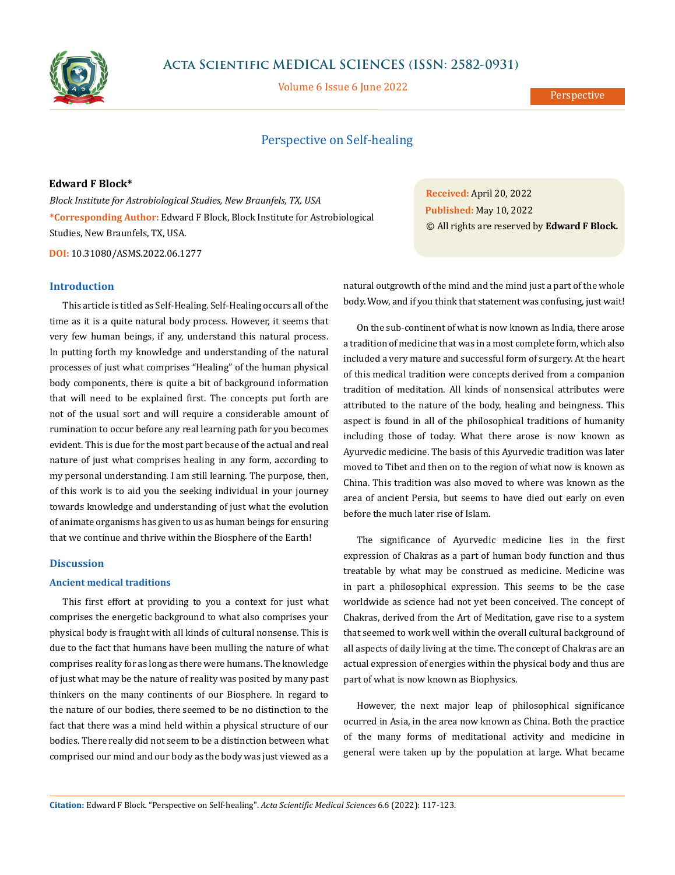

## **Acta Scientific MEDICAL SCIENCES (ISSN: 2582-0931)**

Volume 6 Issue 6 June 2022

Perspective

# Perspective on Self-healing

#### **Edward F Block\***

*Block Institute for Astrobiological Studies, New Braunfels, TX, USA* **\*Corresponding Author:** Edward F Block, Block Institute for Astrobiological Studies, New Braunfels, TX, USA.

**DOI:** [10.31080/ASMS.2022.06.12](http://actascientific.com/ASMS/pdf/ASMS-06-1277.pdf)77

### **Introduction**

This article is titled as Self-Healing. Self-Healing occurs all of the time as it is a quite natural body process. However, it seems that very few human beings, if any, understand this natural process. In putting forth my knowledge and understanding of the natural processes of just what comprises "Healing" of the human physical body components, there is quite a bit of background information that will need to be explained first. The concepts put forth are not of the usual sort and will require a considerable amount of rumination to occur before any real learning path for you becomes evident. This is due for the most part because of the actual and real nature of just what comprises healing in any form, according to my personal understanding. I am still learning. The purpose, then, of this work is to aid you the seeking individual in your journey towards knowledge and understanding of just what the evolution of animate organisms has given to us as human beings for ensuring that we continue and thrive within the Biosphere of the Earth!

### **Discussion**

#### **Ancient medical traditions**

This first effort at providing to you a context for just what comprises the energetic background to what also comprises your physical body is fraught with all kinds of cultural nonsense. This is due to the fact that humans have been mulling the nature of what comprises reality for as long as there were humans. The knowledge of just what may be the nature of reality was posited by many past thinkers on the many continents of our Biosphere. In regard to the nature of our bodies, there seemed to be no distinction to the fact that there was a mind held within a physical structure of our bodies. There really did not seem to be a distinction between what comprised our mind and our body as the body was just viewed as a **Received:** April 20, 2022 **Published:** May 10, 2022 © All rights are reserved by **Edward F Block***.*

natural outgrowth of the mind and the mind just a part of the whole body. Wow, and if you think that statement was confusing, just wait!

On the sub-continent of what is now known as India, there arose a tradition of medicine that was in a most complete form, which also included a very mature and successful form of surgery. At the heart of this medical tradition were concepts derived from a companion tradition of meditation. All kinds of nonsensical attributes were attributed to the nature of the body, healing and beingness. This aspect is found in all of the philosophical traditions of humanity including those of today. What there arose is now known as Ayurvedic medicine. The basis of this Ayurvedic tradition was later moved to Tibet and then on to the region of what now is known as China. This tradition was also moved to where was known as the area of ancient Persia, but seems to have died out early on even before the much later rise of Islam.

The significance of Ayurvedic medicine lies in the first expression of Chakras as a part of human body function and thus treatable by what may be construed as medicine. Medicine was in part a philosophical expression. This seems to be the case worldwide as science had not yet been conceived. The concept of Chakras, derived from the Art of Meditation, gave rise to a system that seemed to work well within the overall cultural background of all aspects of daily living at the time. The concept of Chakras are an actual expression of energies within the physical body and thus are part of what is now known as Biophysics.

However, the next major leap of philosophical significance ocurred in Asia, in the area now known as China. Both the practice of the many forms of meditational activity and medicine in general were taken up by the population at large. What became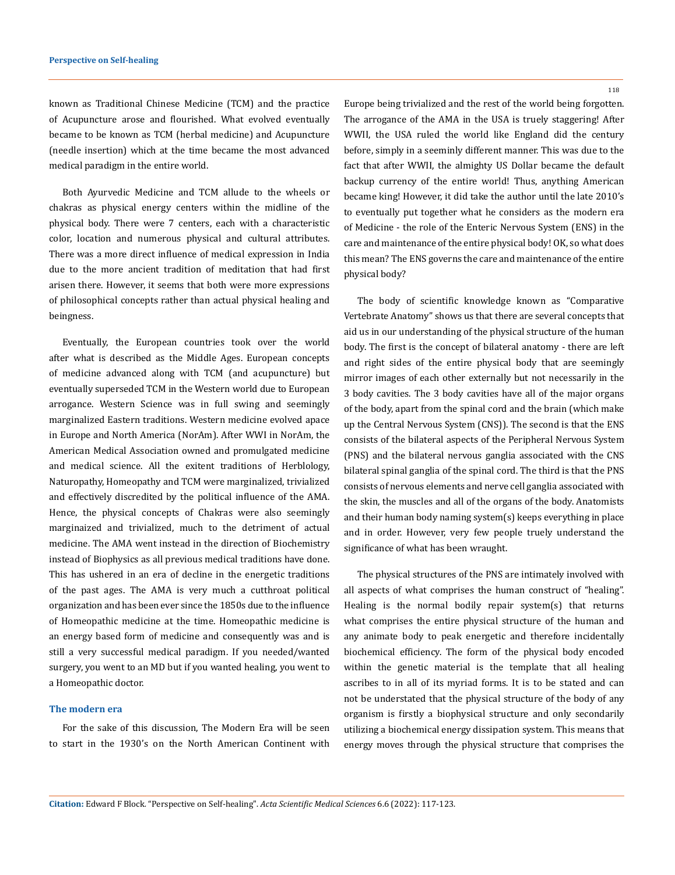known as Traditional Chinese Medicine (TCM) and the practice of Acupuncture arose and flourished. What evolved eventually became to be known as TCM (herbal medicine) and Acupuncture (needle insertion) which at the time became the most advanced medical paradigm in the entire world.

Both Ayurvedic Medicine and TCM allude to the wheels or chakras as physical energy centers within the midline of the physical body. There were 7 centers, each with a characteristic color, location and numerous physical and cultural attributes. There was a more direct influence of medical expression in India due to the more ancient tradition of meditation that had first arisen there. However, it seems that both were more expressions of philosophical concepts rather than actual physical healing and beingness.

Eventually, the European countries took over the world after what is described as the Middle Ages. European concepts of medicine advanced along with TCM (and acupuncture) but eventually superseded TCM in the Western world due to European arrogance. Western Science was in full swing and seemingly marginalized Eastern traditions. Western medicine evolved apace in Europe and North America (NorAm). After WWI in NorAm, the American Medical Association owned and promulgated medicine and medical science. All the exitent traditions of Herblology, Naturopathy, Homeopathy and TCM were marginalized, trivialized and effectively discredited by the political influence of the AMA. Hence, the physical concepts of Chakras were also seemingly marginaized and trivialized, much to the detriment of actual medicine. The AMA went instead in the direction of Biochemistry instead of Biophysics as all previous medical traditions have done. This has ushered in an era of decline in the energetic traditions of the past ages. The AMA is very much a cutthroat political organization and has been ever since the 1850s due to the influence of Homeopathic medicine at the time. Homeopathic medicine is an energy based form of medicine and consequently was and is still a very successful medical paradigm. If you needed/wanted surgery, you went to an MD but if you wanted healing, you went to a Homeopathic doctor.

#### **The modern era**

For the sake of this discussion, The Modern Era will be seen to start in the 1930's on the North American Continent with 118

Europe being trivialized and the rest of the world being forgotten. The arrogance of the AMA in the USA is truely staggering! After WWII, the USA ruled the world like England did the century before, simply in a seeminly different manner. This was due to the fact that after WWII, the almighty US Dollar became the default backup currency of the entire world! Thus, anything American became king! However, it did take the author until the late 2010's to eventually put together what he considers as the modern era of Medicine - the role of the Enteric Nervous System (ENS) in the care and maintenance of the entire physical body! OK, so what does this mean? The ENS governs the care and maintenance of the entire physical body?

The body of scientific knowledge known as "Comparative Vertebrate Anatomy" shows us that there are several concepts that aid us in our understanding of the physical structure of the human body. The first is the concept of bilateral anatomy - there are left and right sides of the entire physical body that are seemingly mirror images of each other externally but not necessarily in the 3 body cavities. The 3 body cavities have all of the major organs of the body, apart from the spinal cord and the brain (which make up the Central Nervous System (CNS)). The second is that the ENS consists of the bilateral aspects of the Peripheral Nervous System (PNS) and the bilateral nervous ganglia associated with the CNS bilateral spinal ganglia of the spinal cord. The third is that the PNS consists of nervous elements and nerve cell ganglia associated with the skin, the muscles and all of the organs of the body. Anatomists and their human body naming system(s) keeps everything in place and in order. However, very few people truely understand the significance of what has been wraught.

The physical structures of the PNS are intimately involved with all aspects of what comprises the human construct of "healing". Healing is the normal bodily repair system(s) that returns what comprises the entire physical structure of the human and any animate body to peak energetic and therefore incidentally biochemical efficiency. The form of the physical body encoded within the genetic material is the template that all healing ascribes to in all of its myriad forms. It is to be stated and can not be understated that the physical structure of the body of any organism is firstly a biophysical structure and only secondarily utilizing a biochemical energy dissipation system. This means that energy moves through the physical structure that comprises the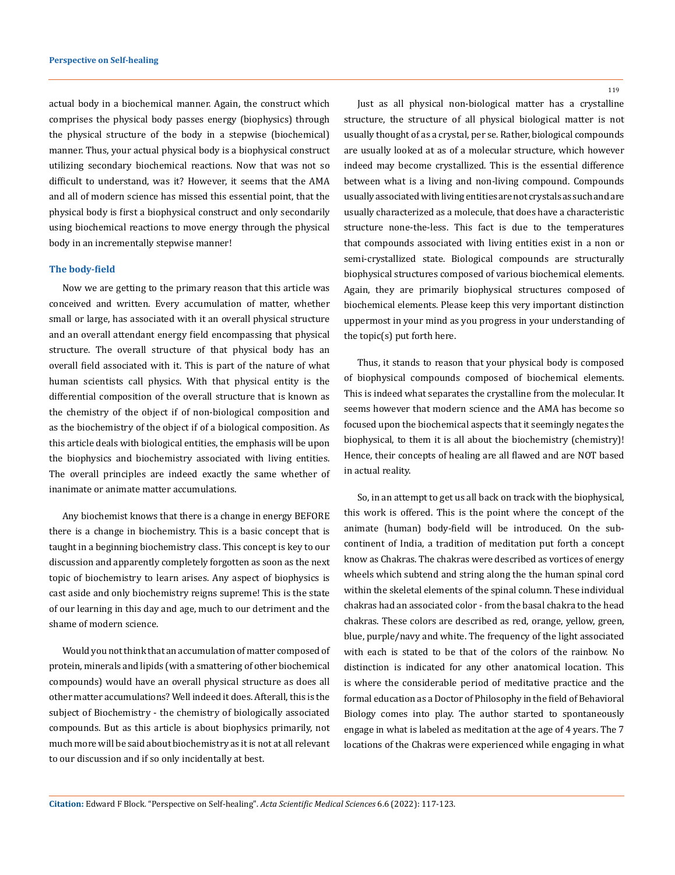actual body in a biochemical manner. Again, the construct which comprises the physical body passes energy (biophysics) through the physical structure of the body in a stepwise (biochemical) manner. Thus, your actual physical body is a biophysical construct utilizing secondary biochemical reactions. Now that was not so difficult to understand, was it? However, it seems that the AMA and all of modern science has missed this essential point, that the physical body is first a biophysical construct and only secondarily using biochemical reactions to move energy through the physical body in an incrementally stepwise manner!

#### **The body-field**

Now we are getting to the primary reason that this article was conceived and written. Every accumulation of matter, whether small or large, has associated with it an overall physical structure and an overall attendant energy field encompassing that physical structure. The overall structure of that physical body has an overall field associated with it. This is part of the nature of what human scientists call physics. With that physical entity is the differential composition of the overall structure that is known as the chemistry of the object if of non-biological composition and as the biochemistry of the object if of a biological composition. As this article deals with biological entities, the emphasis will be upon the biophysics and biochemistry associated with living entities. The overall principles are indeed exactly the same whether of inanimate or animate matter accumulations.

Any biochemist knows that there is a change in energy BEFORE there is a change in biochemistry. This is a basic concept that is taught in a beginning biochemistry class. This concept is key to our discussion and apparently completely forgotten as soon as the next topic of biochemistry to learn arises. Any aspect of biophysics is cast aside and only biochemistry reigns supreme! This is the state of our learning in this day and age, much to our detriment and the shame of modern science.

Would you not think that an accumulation of matter composed of protein, minerals and lipids (with a smattering of other biochemical compounds) would have an overall physical structure as does all other matter accumulations? Well indeed it does. Afterall, this is the subject of Biochemistry - the chemistry of biologically associated compounds. But as this article is about biophysics primarily, not much more will be said about biochemistry as it is not at all relevant to our discussion and if so only incidentally at best.

119

Just as all physical non-biological matter has a crystalline structure, the structure of all physical biological matter is not usually thought of as a crystal, per se. Rather, biological compounds are usually looked at as of a molecular structure, which however indeed may become crystallized. This is the essential difference between what is a living and non-living compound. Compounds usually associated with living entities are not crystals as such and are usually characterized as a molecule, that does have a characteristic structure none-the-less. This fact is due to the temperatures that compounds associated with living entities exist in a non or semi-crystallized state. Biological compounds are structurally biophysical structures composed of various biochemical elements. Again, they are primarily biophysical structures composed of biochemical elements. Please keep this very important distinction uppermost in your mind as you progress in your understanding of the topic(s) put forth here.

Thus, it stands to reason that your physical body is composed of biophysical compounds composed of biochemical elements. This is indeed what separates the crystalline from the molecular. It seems however that modern science and the AMA has become so focused upon the biochemical aspects that it seemingly negates the biophysical, to them it is all about the biochemistry (chemistry)! Hence, their concepts of healing are all flawed and are NOT based in actual reality.

So, in an attempt to get us all back on track with the biophysical, this work is offered. This is the point where the concept of the animate (human) body-field will be introduced. On the subcontinent of India, a tradition of meditation put forth a concept know as Chakras. The chakras were described as vortices of energy wheels which subtend and string along the the human spinal cord within the skeletal elements of the spinal column. These individual chakras had an associated color - from the basal chakra to the head chakras. These colors are described as red, orange, yellow, green, blue, purple/navy and white. The frequency of the light associated with each is stated to be that of the colors of the rainbow. No distinction is indicated for any other anatomical location. This is where the considerable period of meditative practice and the formal education as a Doctor of Philosophy in the field of Behavioral Biology comes into play. The author started to spontaneously engage in what is labeled as meditation at the age of 4 years. The 7 locations of the Chakras were experienced while engaging in what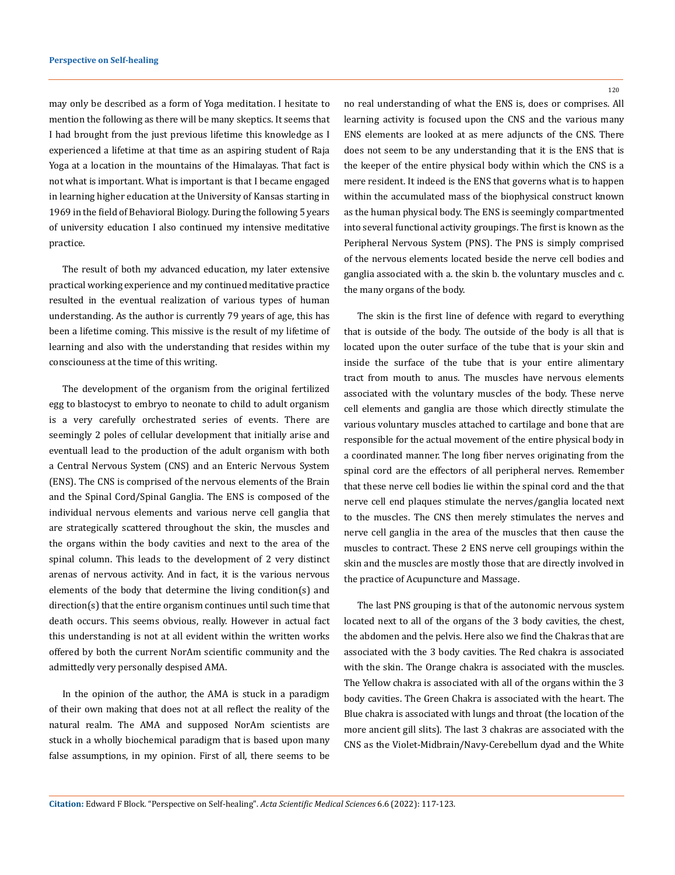may only be described as a form of Yoga meditation. I hesitate to mention the following as there will be many skeptics. It seems that I had brought from the just previous lifetime this knowledge as I experienced a lifetime at that time as an aspiring student of Raja Yoga at a location in the mountains of the Himalayas. That fact is not what is important. What is important is that I became engaged in learning higher education at the University of Kansas starting in 1969 in the field of Behavioral Biology. During the following 5 years of university education I also continued my intensive meditative practice.

The result of both my advanced education, my later extensive practical working experience and my continued meditative practice resulted in the eventual realization of various types of human understanding. As the author is currently 79 years of age, this has been a lifetime coming. This missive is the result of my lifetime of learning and also with the understanding that resides within my consciouness at the time of this writing.

The development of the organism from the original fertilized egg to blastocyst to embryo to neonate to child to adult organism is a very carefully orchestrated series of events. There are seemingly 2 poles of cellular development that initially arise and eventuall lead to the production of the adult organism with both a Central Nervous System (CNS) and an Enteric Nervous System (ENS). The CNS is comprised of the nervous elements of the Brain and the Spinal Cord/Spinal Ganglia. The ENS is composed of the individual nervous elements and various nerve cell ganglia that are strategically scattered throughout the skin, the muscles and the organs within the body cavities and next to the area of the spinal column. This leads to the development of 2 very distinct arenas of nervous activity. And in fact, it is the various nervous elements of the body that determine the living condition(s) and direction(s) that the entire organism continues until such time that death occurs. This seems obvious, really. However in actual fact this understanding is not at all evident within the written works offered by both the current NorAm scientific community and the admittedly very personally despised AMA.

In the opinion of the author, the AMA is stuck in a paradigm of their own making that does not at all reflect the reality of the natural realm. The AMA and supposed NorAm scientists are stuck in a wholly biochemical paradigm that is based upon many false assumptions, in my opinion. First of all, there seems to be

120

no real understanding of what the ENS is, does or comprises. All learning activity is focused upon the CNS and the various many ENS elements are looked at as mere adjuncts of the CNS. There does not seem to be any understanding that it is the ENS that is the keeper of the entire physical body within which the CNS is a mere resident. It indeed is the ENS that governs what is to happen within the accumulated mass of the biophysical construct known as the human physical body. The ENS is seemingly compartmented into several functional activity groupings. The first is known as the Peripheral Nervous System (PNS). The PNS is simply comprised of the nervous elements located beside the nerve cell bodies and ganglia associated with a. the skin b. the voluntary muscles and c. the many organs of the body.

The skin is the first line of defence with regard to everything that is outside of the body. The outside of the body is all that is located upon the outer surface of the tube that is your skin and inside the surface of the tube that is your entire alimentary tract from mouth to anus. The muscles have nervous elements associated with the voluntary muscles of the body. These nerve cell elements and ganglia are those which directly stimulate the various voluntary muscles attached to cartilage and bone that are responsible for the actual movement of the entire physical body in a coordinated manner. The long fiber nerves originating from the spinal cord are the effectors of all peripheral nerves. Remember that these nerve cell bodies lie within the spinal cord and the that nerve cell end plaques stimulate the nerves/ganglia located next to the muscles. The CNS then merely stimulates the nerves and nerve cell ganglia in the area of the muscles that then cause the muscles to contract. These 2 ENS nerve cell groupings within the skin and the muscles are mostly those that are directly involved in the practice of Acupuncture and Massage.

The last PNS grouping is that of the autonomic nervous system located next to all of the organs of the 3 body cavities, the chest, the abdomen and the pelvis. Here also we find the Chakras that are associated with the 3 body cavities. The Red chakra is associated with the skin. The Orange chakra is associated with the muscles. The Yellow chakra is associated with all of the organs within the 3 body cavities. The Green Chakra is associated with the heart. The Blue chakra is associated with lungs and throat (the location of the more ancient gill slits). The last 3 chakras are associated with the CNS as the Violet-Midbrain/Navy-Cerebellum dyad and the White

**Citation:** Edward F Block*.* "Perspective on Self-healing". *Acta Scientific Medical Sciences* 6.6 (2022): 117-123.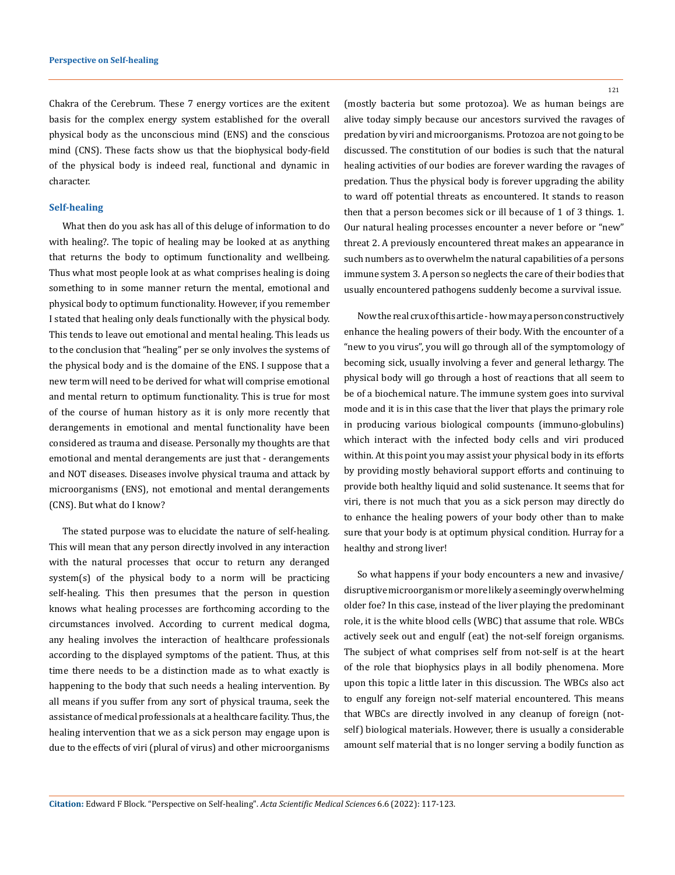Chakra of the Cerebrum. These 7 energy vortices are the exitent basis for the complex energy system established for the overall physical body as the unconscious mind (ENS) and the conscious mind (CNS). These facts show us that the biophysical body-field of the physical body is indeed real, functional and dynamic in character.

#### **Self-healing**

What then do you ask has all of this deluge of information to do with healing?. The topic of healing may be looked at as anything that returns the body to optimum functionality and wellbeing. Thus what most people look at as what comprises healing is doing something to in some manner return the mental, emotional and physical body to optimum functionality. However, if you remember I stated that healing only deals functionally with the physical body. This tends to leave out emotional and mental healing. This leads us to the conclusion that "healing" per se only involves the systems of the physical body and is the domaine of the ENS. I suppose that a new term will need to be derived for what will comprise emotional and mental return to optimum functionality. This is true for most of the course of human history as it is only more recently that derangements in emotional and mental functionality have been considered as trauma and disease. Personally my thoughts are that emotional and mental derangements are just that - derangements and NOT diseases. Diseases involve physical trauma and attack by microorganisms (ENS), not emotional and mental derangements (CNS). But what do I know?

The stated purpose was to elucidate the nature of self-healing. This will mean that any person directly involved in any interaction with the natural processes that occur to return any deranged system(s) of the physical body to a norm will be practicing self-healing. This then presumes that the person in question knows what healing processes are forthcoming according to the circumstances involved. According to current medical dogma, any healing involves the interaction of healthcare professionals according to the displayed symptoms of the patient. Thus, at this time there needs to be a distinction made as to what exactly is happening to the body that such needs a healing intervention. By all means if you suffer from any sort of physical trauma, seek the assistance of medical professionals at a healthcare facility. Thus, the healing intervention that we as a sick person may engage upon is due to the effects of viri (plural of virus) and other microorganisms 121

(mostly bacteria but some protozoa). We as human beings are alive today simply because our ancestors survived the ravages of predation by viri and microorganisms. Protozoa are not going to be discussed. The constitution of our bodies is such that the natural healing activities of our bodies are forever warding the ravages of predation. Thus the physical body is forever upgrading the ability to ward off potential threats as encountered. It stands to reason then that a person becomes sick or ill because of 1 of 3 things. 1. Our natural healing processes encounter a never before or "new" threat 2. A previously encountered threat makes an appearance in such numbers as to overwhelm the natural capabilities of a persons immune system 3. A person so neglects the care of their bodies that usually encountered pathogens suddenly become a survival issue.

Now the real crux of this article - how may a person constructively enhance the healing powers of their body. With the encounter of a "new to you virus", you will go through all of the symptomology of becoming sick, usually involving a fever and general lethargy. The physical body will go through a host of reactions that all seem to be of a biochemical nature. The immune system goes into survival mode and it is in this case that the liver that plays the primary role in producing various biological compounts (immuno-globulins) which interact with the infected body cells and viri produced within. At this point you may assist your physical body in its efforts by providing mostly behavioral support efforts and continuing to provide both healthy liquid and solid sustenance. It seems that for viri, there is not much that you as a sick person may directly do to enhance the healing powers of your body other than to make sure that your body is at optimum physical condition. Hurray for a healthy and strong liver!

So what happens if your body encounters a new and invasive/ disruptive microorganism or more likely a seemingly overwhelming older foe? In this case, instead of the liver playing the predominant role, it is the white blood cells (WBC) that assume that role. WBCs actively seek out and engulf (eat) the not-self foreign organisms. The subject of what comprises self from not-self is at the heart of the role that biophysics plays in all bodily phenomena. More upon this topic a little later in this discussion. The WBCs also act to engulf any foreign not-self material encountered. This means that WBCs are directly involved in any cleanup of foreign (notself) biological materials. However, there is usually a considerable amount self material that is no longer serving a bodily function as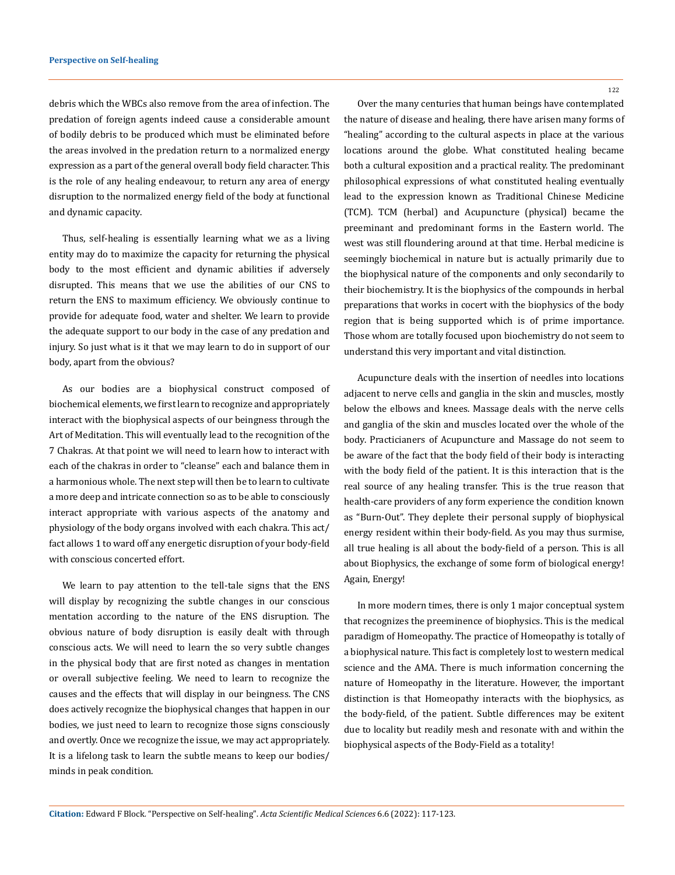debris which the WBCs also remove from the area of infection. The predation of foreign agents indeed cause a considerable amount of bodily debris to be produced which must be eliminated before the areas involved in the predation return to a normalized energy expression as a part of the general overall body field character. This is the role of any healing endeavour, to return any area of energy disruption to the normalized energy field of the body at functional and dynamic capacity.

Thus, self-healing is essentially learning what we as a living entity may do to maximize the capacity for returning the physical body to the most efficient and dynamic abilities if adversely disrupted. This means that we use the abilities of our CNS to return the ENS to maximum efficiency. We obviously continue to provide for adequate food, water and shelter. We learn to provide the adequate support to our body in the case of any predation and injury. So just what is it that we may learn to do in support of our body, apart from the obvious?

As our bodies are a biophysical construct composed of biochemical elements, we first learn to recognize and appropriately interact with the biophysical aspects of our beingness through the Art of Meditation. This will eventually lead to the recognition of the 7 Chakras. At that point we will need to learn how to interact with each of the chakras in order to "cleanse" each and balance them in a harmonious whole. The next step will then be to learn to cultivate a more deep and intricate connection so as to be able to consciously interact appropriate with various aspects of the anatomy and physiology of the body organs involved with each chakra. This act/ fact allows 1 to ward off any energetic disruption of your body-field with conscious concerted effort.

We learn to pay attention to the tell-tale signs that the ENS will display by recognizing the subtle changes in our conscious mentation according to the nature of the ENS disruption. The obvious nature of body disruption is easily dealt with through conscious acts. We will need to learn the so very subtle changes in the physical body that are first noted as changes in mentation or overall subjective feeling. We need to learn to recognize the causes and the effects that will display in our beingness. The CNS does actively recognize the biophysical changes that happen in our bodies, we just need to learn to recognize those signs consciously and overtly. Once we recognize the issue, we may act appropriately. It is a lifelong task to learn the subtle means to keep our bodies/ minds in peak condition.

122

Over the many centuries that human beings have contemplated the nature of disease and healing, there have arisen many forms of "healing" according to the cultural aspects in place at the various locations around the globe. What constituted healing became both a cultural exposition and a practical reality. The predominant philosophical expressions of what constituted healing eventually lead to the expression known as Traditional Chinese Medicine (TCM). TCM (herbal) and Acupuncture (physical) became the preeminant and predominant forms in the Eastern world. The west was still floundering around at that time. Herbal medicine is seemingly biochemical in nature but is actually primarily due to the biophysical nature of the components and only secondarily to their biochemistry. It is the biophysics of the compounds in herbal preparations that works in cocert with the biophysics of the body region that is being supported which is of prime importance. Those whom are totally focused upon biochemistry do not seem to understand this very important and vital distinction.

Acupuncture deals with the insertion of needles into locations adjacent to nerve cells and ganglia in the skin and muscles, mostly below the elbows and knees. Massage deals with the nerve cells and ganglia of the skin and muscles located over the whole of the body. Practicianers of Acupuncture and Massage do not seem to be aware of the fact that the body field of their body is interacting with the body field of the patient. It is this interaction that is the real source of any healing transfer. This is the true reason that health-care providers of any form experience the condition known as "Burn-Out". They deplete their personal supply of biophysical energy resident within their body-field. As you may thus surmise, all true healing is all about the body-field of a person. This is all about Biophysics, the exchange of some form of biological energy! Again, Energy!

In more modern times, there is only 1 major conceptual system that recognizes the preeminence of biophysics. This is the medical paradigm of Homeopathy. The practice of Homeopathy is totally of a biophysical nature. This fact is completely lost to western medical science and the AMA. There is much information concerning the nature of Homeopathy in the literature. However, the important distinction is that Homeopathy interacts with the biophysics, as the body-field, of the patient. Subtle differences may be exitent due to locality but readily mesh and resonate with and within the biophysical aspects of the Body-Field as a totality!

**Citation:** Edward F Block*.* "Perspective on Self-healing". *Acta Scientific Medical Sciences* 6.6 (2022): 117-123.